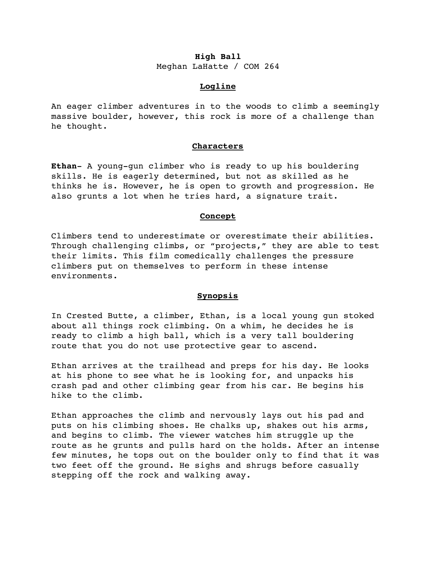# **High Ball**

Meghan LaHatte / COM 264

# **Logline**

An eager climber adventures in to the woods to climb a seemingly massive boulder, however, this rock is more of a challenge than he thought.

# **Characters**

**Ethan**- A young-gun climber who is ready to up his bouldering skills. He is eagerly determined, but not as skilled as he thinks he is. However, he is open to growth and progression. He also grunts a lot when he tries hard, a signature trait.

# **Concept**

Climbers tend to underestimate or overestimate their abilities. Through challenging climbs, or "projects," they are able to test their limits. This film comedically challenges the pressure climbers put on themselves to perform in these intense environments.

# **Synopsis**

In Crested Butte, a climber, Ethan, is a local young gun stoked about all things rock climbing. On a whim, he decides he is ready to climb a high ball, which is a very tall bouldering route that you do not use protective gear to ascend.

Ethan arrives at the trailhead and preps for his day. He looks at his phone to see what he is looking for, and unpacks his crash pad and other climbing gear from his car. He begins his hike to the climb.

Ethan approaches the climb and nervously lays out his pad and puts on his climbing shoes. He chalks up, shakes out his arms, and begins to climb. The viewer watches him struggle up the route as he grunts and pulls hard on the holds. After an intense few minutes, he tops out on the boulder only to find that it was two feet off the ground. He sighs and shrugs before casually stepping off the rock and walking away.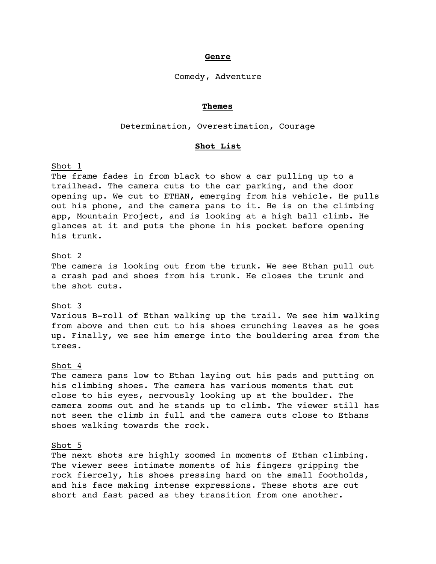## **Genre**

#### Comedy, Adventure

## **Themes**

#### Determination, Overestimation, Courage

## **Shot List**

## Shot 1

The frame fades in from black to show a car pulling up to a trailhead. The camera cuts to the car parking, and the door opening up. We cut to ETHAN, emerging from his vehicle. He pulls out his phone, and the camera pans to it. He is on the climbing app, Mountain Project, and is looking at a high ball climb. He glances at it and puts the phone in his pocket before opening his trunk.

# Shot 2

The camera is looking out from the trunk. We see Ethan pull out a crash pad and shoes from his trunk. He closes the trunk and the shot cuts.

## Shot 3

Various B-roll of Ethan walking up the trail. We see him walking from above and then cut to his shoes crunching leaves as he goes up. Finally, we see him emerge into the bouldering area from the trees.

## Shot 4

The camera pans low to Ethan laying out his pads and putting on his climbing shoes. The camera has various moments that cut close to his eyes, nervously looking up at the boulder. The camera zooms out and he stands up to climb. The viewer still has not seen the climb in full and the camera cuts close to Ethans shoes walking towards the rock.

## Shot 5

The next shots are highly zoomed in moments of Ethan climbing. The viewer sees intimate moments of his fingers gripping the rock fiercely, his shoes pressing hard on the small footholds, and his face making intense expressions. These shots are cut short and fast paced as they transition from one another.